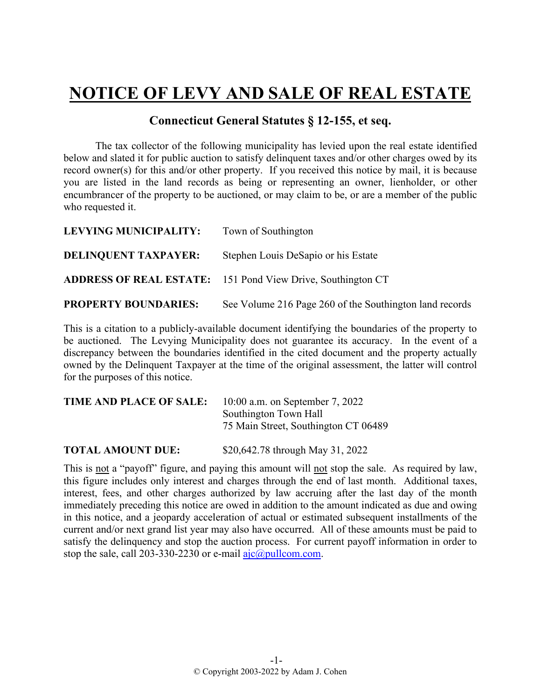## **NOTICE OF LEVY AND SALE OF REAL ESTATE**

## **Connecticut General Statutes § 12-155, et seq.**

The tax collector of the following municipality has levied upon the real estate identified below and slated it for public auction to satisfy delinquent taxes and/or other charges owed by its record owner(s) for this and/or other property. If you received this notice by mail, it is because you are listed in the land records as being or representing an owner, lienholder, or other encumbrancer of the property to be auctioned, or may claim to be, or are a member of the public who requested it.

| LEVYING MUNICIPALITY:       | Town of Southington                                                |
|-----------------------------|--------------------------------------------------------------------|
| <b>DELINQUENT TAXPAYER:</b> | Stephen Louis DeSapio or his Estate                                |
|                             | <b>ADDRESS OF REAL ESTATE:</b> 151 Pond View Drive, Southington CT |
| <b>PROPERTY BOUNDARIES:</b> | See Volume 216 Page 260 of the Southington land records            |

This is a citation to a publicly-available document identifying the boundaries of the property to be auctioned. The Levying Municipality does not guarantee its accuracy. In the event of a discrepancy between the boundaries identified in the cited document and the property actually owned by the Delinquent Taxpayer at the time of the original assessment, the latter will control for the purposes of this notice.

| TIME AND PLACE OF SALE: | $10:00$ a.m. on September 7, 2022    |
|-------------------------|--------------------------------------|
|                         | Southington Town Hall                |
|                         | 75 Main Street, Southington CT 06489 |
|                         |                                      |

**TOTAL AMOUNT DUE:** \$20,642.78 through May 31, 2022

This is not a "payoff" figure, and paying this amount will not stop the sale. As required by law, this figure includes only interest and charges through the end of last month. Additional taxes, interest, fees, and other charges authorized by law accruing after the last day of the month immediately preceding this notice are owed in addition to the amount indicated as due and owing in this notice, and a jeopardy acceleration of actual or estimated subsequent installments of the current and/or next grand list year may also have occurred. All of these amounts must be paid to satisfy the delinquency and stop the auction process. For current payoff information in order to stop the sale, call 203-330-2230 or e-mail  $a$ jc $@p$ ullcom.com.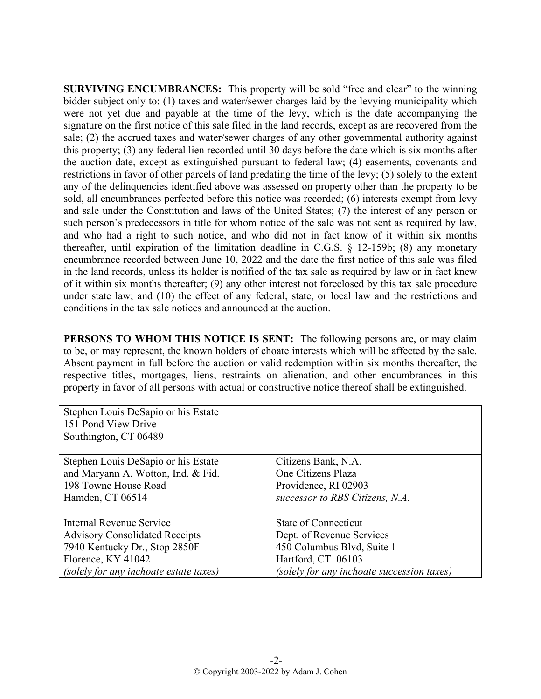**SURVIVING ENCUMBRANCES:** This property will be sold "free and clear" to the winning bidder subject only to: (1) taxes and water/sewer charges laid by the levying municipality which were not yet due and payable at the time of the levy, which is the date accompanying the signature on the first notice of this sale filed in the land records, except as are recovered from the sale; (2) the accrued taxes and water/sewer charges of any other governmental authority against this property; (3) any federal lien recorded until 30 days before the date which is six months after the auction date, except as extinguished pursuant to federal law; (4) easements, covenants and restrictions in favor of other parcels of land predating the time of the levy; (5) solely to the extent any of the delinquencies identified above was assessed on property other than the property to be sold, all encumbrances perfected before this notice was recorded; (6) interests exempt from levy and sale under the Constitution and laws of the United States; (7) the interest of any person or such person's predecessors in title for whom notice of the sale was not sent as required by law, and who had a right to such notice, and who did not in fact know of it within six months thereafter, until expiration of the limitation deadline in C.G.S. § 12-159b; (8) any monetary encumbrance recorded between June 10, 2022 and the date the first notice of this sale was filed in the land records, unless its holder is notified of the tax sale as required by law or in fact knew of it within six months thereafter; (9) any other interest not foreclosed by this tax sale procedure under state law; and (10) the effect of any federal, state, or local law and the restrictions and conditions in the tax sale notices and announced at the auction.

**PERSONS TO WHOM THIS NOTICE IS SENT:** The following persons are, or may claim to be, or may represent, the known holders of choate interests which will be affected by the sale. Absent payment in full before the auction or valid redemption within six months thereafter, the respective titles, mortgages, liens, restraints on alienation, and other encumbrances in this property in favor of all persons with actual or constructive notice thereof shall be extinguished.

| Stephen Louis DeSapio or his Estate<br>151 Pond View Drive<br>Southington, CT 06489 |                                            |
|-------------------------------------------------------------------------------------|--------------------------------------------|
| Stephen Louis DeSapio or his Estate                                                 | Citizens Bank, N.A.                        |
| and Maryann A. Wotton, Ind. & Fid.                                                  | One Citizens Plaza                         |
| 198 Towne House Road                                                                | Providence, RI 02903                       |
| Hamden, CT 06514                                                                    | successor to RBS Citizens, N.A.            |
|                                                                                     |                                            |
| Internal Revenue Service                                                            | <b>State of Connecticut</b>                |
| <b>Advisory Consolidated Receipts</b>                                               | Dept. of Revenue Services                  |
| 7940 Kentucky Dr., Stop 2850F                                                       | 450 Columbus Blvd, Suite 1                 |
| Florence, KY 41042                                                                  | Hartford, CT 06103                         |
| (solely for any inchoate estate taxes)                                              | (solely for any inchoate succession taxes) |